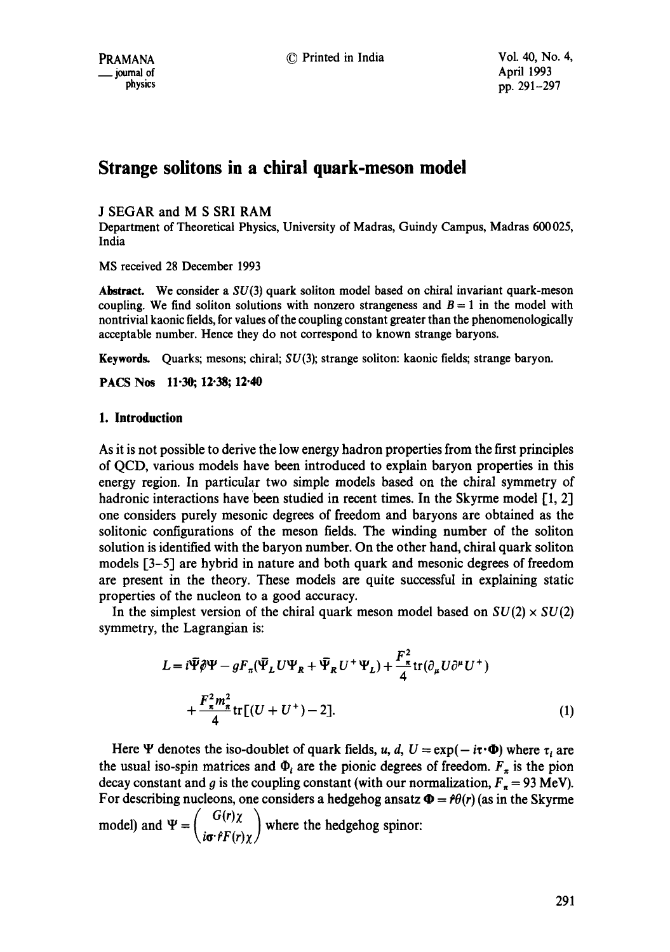# **Strange solitons in a ehiral quark-meson model**

J SEGAR and M S SRI RAM

Department of Theoretical Physics, University of Madras, Guindy Campus, Madras 600 025, India

MS received 28 December 1993

**Abstract.** We consider a SU(3) quark soliton model based on chiral invariant quark-meson coupling. We find soliton solutions with nonzero strangeness and  $B = 1$  in the model with nontrivial kaonic fields, for values of the coupling constant greater than the phenomenologically acceptable number. Hence they do not correspond to known strange baryons.

**Keywords.** Quarks; mesons; chiral;  $SU(3)$ ; strange soliton: kaonic fields; strange baryon.

**PACS Nos 11-30; 12-38; 12-40** 

## **1. Introduction**

As it is not possible to derive the low energy hadron properties from the first principles of QCD, various models have been introduced to explain baryon properties in this energy region. In particular two simple models based on the chiral symmetry of hadronic interactions have been studied in recent times. In the Skyrme model  $[1, 2]$ one considers purely mesonic degrees of freedom and baryons are obtained as the solitonic configurations of the meson fields. The winding number of the soliton solution is identified with the baryon number. On the other hand, chiral quark soliton models [3-5] are hybrid in nature and both quark and mesonic degrees of freedom are present in the theory. These models are quite successful in explaining static properties of the nucleon to a good accuracy.

In the simplest version of the chiral quark meson model based on  $SU(2) \times SU(2)$ symmetry, the Lagrangian is:

$$
L = i\tilde{\Psi}\hat{\phi}\Psi - gF_{\pi}(\tilde{\Psi}_L U\Psi_R + \tilde{\Psi}_R U^+ \Psi_L) + \frac{F_{\pi}^2}{4}\text{tr}(\partial_{\mu}U\partial^{\mu}U^+)
$$
  
+ 
$$
\frac{F_{\pi}^2 m_{\pi}^2}{4}\text{tr}[(U + U^+) - 2].
$$
 (1)

Here  $\Psi$  denotes the iso-doublet of quark fields, u, d,  $U = \exp(-i\tau \cdot \Phi)$  where  $\tau_i$  are the usual iso-spin matrices and  $\Phi_i$  are the pionic degrees of freedom.  $F_{\pi}$  is the pion decay constant and g is the coupling constant (with our normalization,  $F_{\pi} = 93$  MeV). For describing nucleons, one considers a hedgehog ansatz  $\Phi = f\theta(r)$  (as in the Skyrme  $\left(\begin{array}{c} G(r)\chi \end{array}\right)$ model) and  $\Psi = \begin{pmatrix} 1 & 1 \\ 1 & 1 \end{pmatrix}$  where the hedgehog spinor: *\io"SF(r)xJ*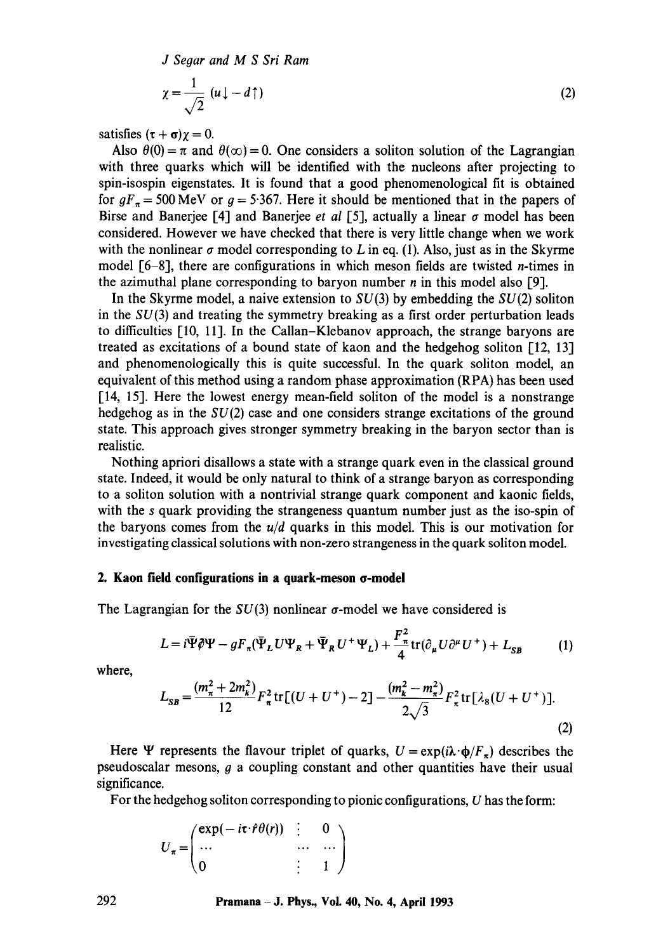*J Segar and M S Sri Ram* 

$$
\chi = \frac{1}{\sqrt{2}} \left( u \downarrow - d \uparrow \right) \tag{2}
$$

satisfies  $({\tau} + {\sigma})\gamma = 0$ .

Also  $\theta(0) = \pi$  and  $\theta(\infty) = 0$ . One considers a soliton solution of the Lagrangian with three quarks which will be identified with the nucleons after projecting to spin-isospin eigenstates. It is found that a good phenomenological fit is obtained for  $gF<sub>\pi</sub> = 500 \text{ MeV}$  or  $g = 5.367$ . Here it should be mentioned that in the papers of Birse and Banerjee [4] and Banerjee *et al* [5], actually a linear  $\sigma$  model has been considered. However we have checked that there is very little change when we work with the nonlinear  $\sigma$  model corresponding to L in eq. (1). Also, just as in the Skyrme model  $[6-8]$ , there are configurations in which meson fields are twisted *n*-times in the azimuthal plane corresponding to baryon number  $n$  in this model also [9].

In the Skyrme model, a naive extension to  $SU(3)$  by embedding the  $SU(2)$  soliton in the  $SU(3)$  and treating the symmetry breaking as a first order perturbation leads to difficulties [10, 11]. In the Callan-Klebanov approach, the strange baryons are treated as excitations of a bound state of kaon and the hedgehog soliton [12, 13] and phenomenologically this is quite successful. In the quark soliton model, an equivalent of this method using a random phase approximation (RPA) has been used [14, 15]. Here the lowest energy mean-field soliton of the model is a nonstrange hedgehog as in the  $SU(2)$  case and one considers strange excitations of the ground state. This approach gives stronger symmetry breaking in the baryon sector than is realistic.

Nothing apriori disallows a state with a strange quark even in the classical ground state. Indeed, it would be only natural to think of a strange baryon as corresponding to a soliton solution with a nontrivial strange quark component and kaonic fields, with the s quark providing the strangeness quantum number just as the iso-spin of the baryons comes from the *u/d* quarks in this model. This is our motivation for investigating classical solutions with non-zero strangeness in the quark soliton model.

#### **2. Kaon field configurations in a quark-meson ¢~-model**

The Lagrangian for the  $SU(3)$  nonlinear  $\sigma$ -model we have considered is

$$
L = i\bar{\Psi}\hat{\phi}\Psi - gF_{\pi}(\bar{\Psi}_L U\Psi_R + \bar{\Psi}_R U^+ \Psi_L) + \frac{F_{\pi}^2}{4}\text{tr}(\partial_{\mu}U\partial^{\mu}U^+) + L_{SB}
$$
 (1)

where,

$$
L_{SB} = \frac{(m_{\pi}^2 + 2m_k^2)}{12} F_{\pi}^2 \text{tr}[(U + U^+) - 2] - \frac{(m_k^2 - m_{\pi}^2)}{2\sqrt{3}} F_{\pi}^2 \text{tr}[\lambda_8 (U + U^+)].
$$
\n(2)

Here  $\Psi$  represents the flavour triplet of quarks,  $U = \exp(i\lambda \cdot \phi/F_{\tau})$  describes the pseudoscalar mesons,  $g$  a coupling constant and other quantities have their usual significance.

For the hedgehog soliton corresponding to pionic configurations, U has the form:

$$
U_{\pi} = \begin{pmatrix} \exp(-i\tau \cdot \hat{r} \theta(r)) & \vdots & 0 \\ \cdots & \cdots & \cdots \\ 0 & \vdots & 1 \end{pmatrix}
$$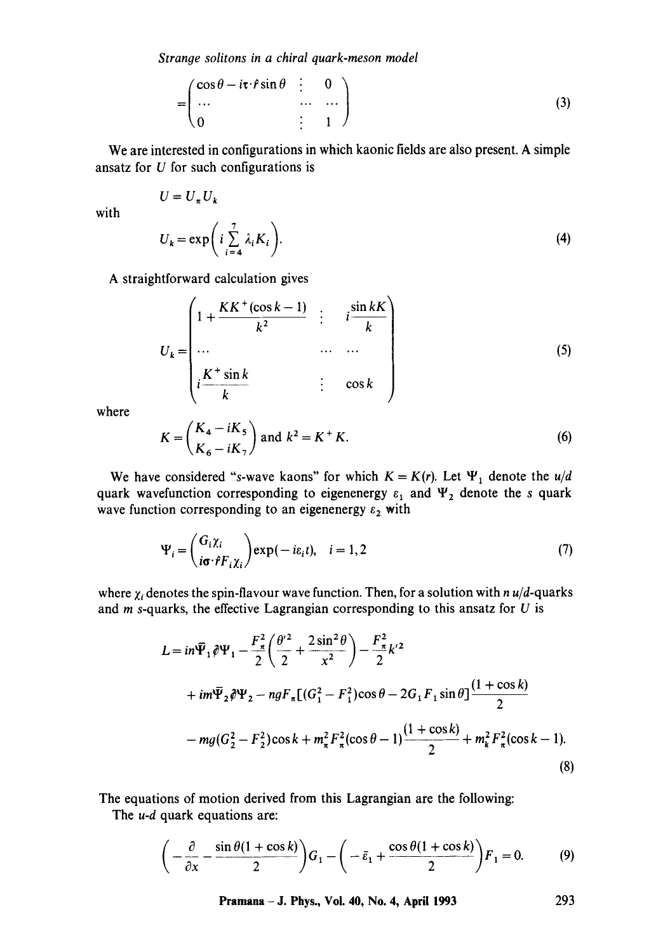*Strange solitons in a chiral quark-meson model* 

$$
= \begin{pmatrix} \cos \theta - i\tau \cdot \hat{r} \sin \theta & \vdots & 0 \\ \cdots & \cdots & \cdots \\ 0 & \vdots & 1 \end{pmatrix}
$$
 (3)

We are interested in configurations in which kaonic fields are also present. A simple ansatz for U for such configurations is

with

$$
U_k = \exp\bigg(i\sum_{i=4}^7 \lambda_i K_i\bigg).
$$
 (4)

A straightforward calculation gives

 $U = U_{\pi} U_{k}$ 

$$
U_k = \begin{pmatrix} 1 + \frac{KK^+(\cos k - 1)}{k^2} & \vdots & i \frac{\sin kK}{k} \\ \cdots & \cdots & \cdots \\ i \frac{K^+\sin k}{k} & \vdots & \cos k \end{pmatrix}
$$
(5)

where

$$
K = \left(\frac{K_4 - iK_5}{K_6 - iK_7}\right) \text{ and } k^2 = K^+ K. \tag{6}
$$

We have considered "s-wave kaons" for which  $K = K(r)$ . Let  $\Psi_1$  denote the  $u/d$ quark wavefunction corresponding to eigenenergy  $\varepsilon_1$  and  $\Psi_2$  denote the s quark wave function corresponding to an eigenenergy  $\varepsilon_2$  with

$$
\Psi_i = \begin{pmatrix} G_i \chi_i \\ i\sigma \cdot fF_i \chi_i \end{pmatrix} \exp(-i\varepsilon_i t), \quad i = 1, 2
$$
 (7)

where  $\chi_i$  denotes the spin-flavour wave function. Then, for a solution with *n u/d*-quarks and  $m$  s-quarks, the effective Lagrangian corresponding to this ansatz for  $U$  is

$$
L = in\overline{\Psi}_1 \hat{\theta} \Psi_1 - \frac{F_{\pi}^2}{2} \left( \frac{\theta'^2}{2} + \frac{2\sin^2 \theta}{x^2} \right) - \frac{F_{\pi}^2}{2} k'^2
$$
  
+ 
$$
im\overline{\Psi}_2 \hat{\theta} \Psi_2 - n g F_{\pi} [(G_1^2 - F_1^2) \cos \theta - 2G_1 F_1 \sin \theta] \frac{(1 + \cos k)}{2}
$$
  
- 
$$
m g (G_2^2 - F_2^2) \cos k + m_{\pi}^2 F_{\pi}^2 (\cos \theta - 1) \frac{(1 + \cos k)}{2} + m_{k}^2 F_{\pi}^2 (\cos k - 1).
$$
 (8)

The equations of motion derived from this Lagrangian are the following:

The *u-d* quark equations are:

$$
\left(-\frac{\partial}{\partial x} - \frac{\sin \theta (1 + \cos k)}{2}\right)G_1 - \left(-\bar{\varepsilon}_1 + \frac{\cos \theta (1 + \cos k)}{2}\right)F_1 = 0. \tag{9}
$$

**Pramana - J. Phys., Vol. 40, No. 4, April 1993 293**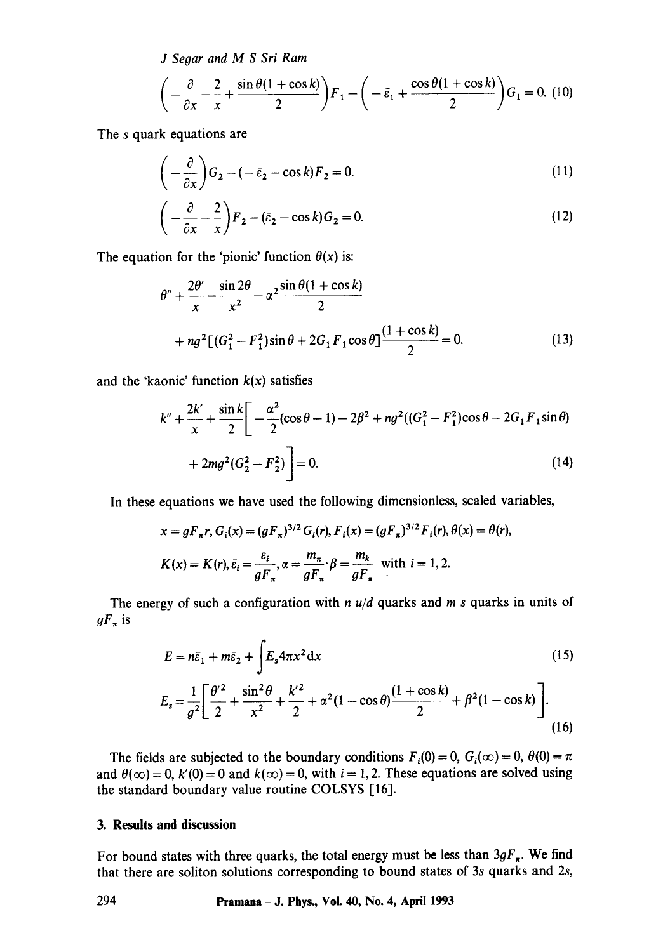*J Seoar and M S Sri Ram* 

$$
\left(-\frac{\partial}{\partial x} - \frac{2}{x} + \frac{\sin \theta (1 + \cos k)}{2}\right) F_1 - \left(-\bar{\varepsilon}_1 + \frac{\cos \theta (1 + \cos k)}{2}\right) G_1 = 0. \tag{10}
$$

The s quark equations are

$$
\left(-\frac{\partial}{\partial x}\right)G_2 - \left(-\bar{\varepsilon}_2 - \cos k\right)F_2 = 0.
$$
\n(11)

$$
\left(-\frac{\partial}{\partial x} - \frac{2}{x}\right)F_2 - (\bar{\varepsilon}_2 - \cos k)G_2 = 0.
$$
\n(12)

The equation for the 'pionic' function  $\theta(x)$  is:

$$
\theta'' + \frac{2\theta'}{x} - \frac{\sin 2\theta}{x^2} - \alpha^2 \frac{\sin \theta (1 + \cos k)}{2}
$$
  
+ 
$$
n g^2 [(G_1^2 - F_1^2) \sin \theta + 2G_1 F_1 \cos \theta] \frac{(1 + \cos k)}{2} = 0.
$$
 (13)

and the 'kaonic' function  $k(x)$  satisfies

$$
k'' + \frac{2k'}{x} + \frac{\sin k}{2} \bigg[ -\frac{\alpha^2}{2} (\cos \theta - 1) - 2\beta^2 + n g^2 ((G_1^2 - F_1^2) \cos \theta - 2G_1 F_1 \sin \theta) + 2m g^2 (G_2^2 - F_2^2) \bigg] = 0.
$$
 (14)

In these equations we have used the following dimensionless, scaled variables,

$$
x = gF_{\pi}r, G_i(x) = (gF_{\pi})^{3/2} G_i(r), F_i(x) = (gF_{\pi})^{3/2} F_i(r), \theta(x) = \theta(r),
$$
  

$$
K(x) = K(r), \bar{\varepsilon}_i = \frac{\varepsilon_i}{gF_{\pi}}, \alpha = \frac{m_{\pi}}{gF_{\pi}} \cdot \beta = \frac{m_k}{gF_{\pi}} \text{ with } i = 1, 2.
$$

The energy of such a configuration with *n u/d* quarks and *m s* quarks in units of  $gF_\pi$  is

$$
E = n\bar{\varepsilon}_1 + m\bar{\varepsilon}_2 + \int E_s 4\pi x^2 dx
$$
\n(15)  
\n
$$
E_s = \frac{1}{g^2} \left[ \frac{\theta'^2}{2} + \frac{\sin^2 \theta}{x^2} + \frac{k'^2}{2} + \alpha^2 (1 - \cos \theta) \frac{(1 + \cos k)}{2} + \beta^2 (1 - \cos k) \right].
$$

(16)

The fields are subjected to the boundary conditions  $F_i(0) = 0$ ,  $G_i(\infty) = 0$ ,  $\theta(0) = \pi$ and  $\theta(\infty) = 0$ ,  $k'(0) = 0$  and  $k(\infty) = 0$ , with  $i = 1, 2$ . These equations are solved using the standard boundary value routine COLSYS [16].

#### **3. Results and discussion**

For bound states with three quarks, the total energy must be less than  $3gF_{\pi}$ . We find that there are soliton solutions corresponding to bound states of 3s quarks and 2s,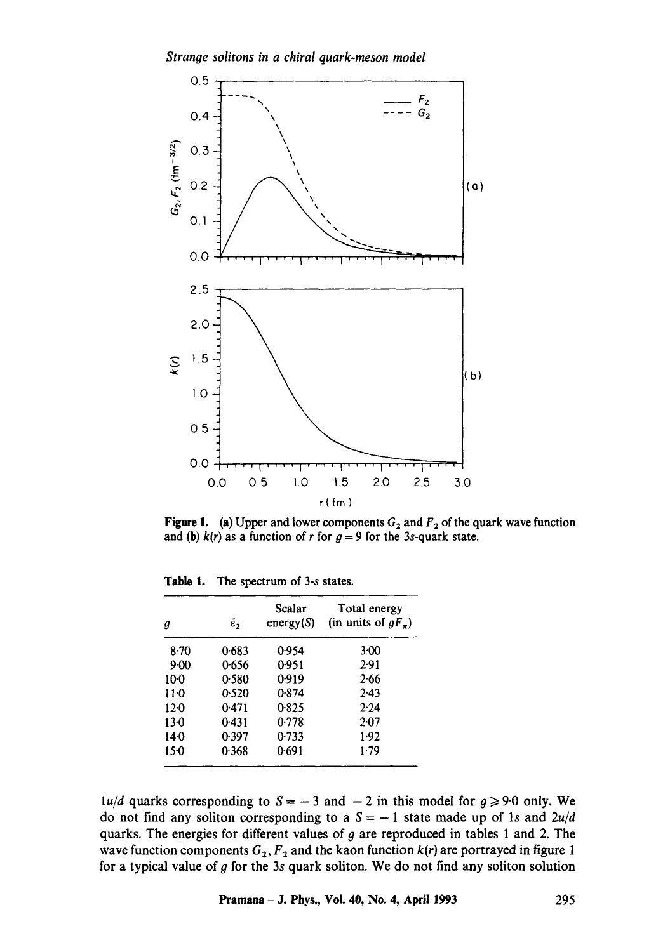

**Figure 1.** (a) Upper and lower components  $G_2$  and  $F_2$  of the quark wave function and (b)  $k(r)$  as a function of r for  $g = 9$  for the 3s-quark state.

| g      | $\tilde{\epsilon}_2$ | Scalar<br>energy(S) | Total energy<br>(in units of $gF_n$ ) |
|--------|----------------------|---------------------|---------------------------------------|
| $8-70$ | 0.683                | 0.954               | 3·00                                  |
| $9-00$ | 0.656                | 0.951               | 2.91                                  |
| $10-0$ | 0.580                | 0.919               | 2.66                                  |
| $11-0$ | 0.520                | 0.874               | 2.43                                  |
| $12-0$ | 0.471                | 0.825               | 2.24                                  |
| $13-0$ | 0.431                | 0.778               | 2.07                                  |
| $14-0$ | 0.397                | 0.733               | 1.92                                  |
| $15-0$ | 0.368                | 0.691               | 1.79                                  |

**Table 1.** The spectrum of 3-s states.

*lu/d* quarks corresponding to  $S = -3$  and  $-2$  in this model for  $g \ge 9.0$  only. We do not find any soliton corresponding to a  $S = -1$  state made up of 1s and  $2u/d$ quarks. The energies for different values of  $g$  are reproduced in tables 1 and 2. The wave function components  $G_2, F_2$  and the kaon function  $k(r)$  are portrayed in figure 1 for a typical value of  $g$  for the 3s quark soliton. We do not find any soliton solution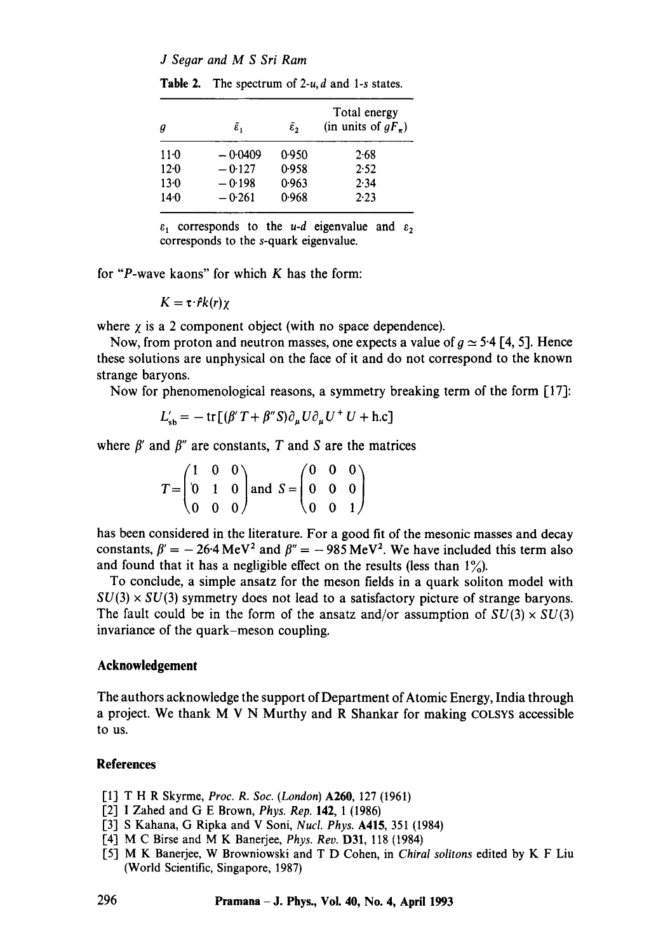*J Segar and M S Sri Ram* 

| а        | $\tilde{\varepsilon}_1$ | $\bar{\epsilon}$ | Total energy<br>(in units of $gF_{\pi}$ ) |  |  |
|----------|-------------------------|------------------|-------------------------------------------|--|--|
| $11-0$   | $-0.0409$               | 0.950            | 2.68                                      |  |  |
| $12 - 0$ | $-0.127$                | 0.958            | 2.52                                      |  |  |
| $13-0$   | $-0.198$                | 0.963            | 2.34                                      |  |  |
| $14-0$   | $-0.261$                | 0.968            | 2.23                                      |  |  |

**Table 2.** The spectrum of 2-u, d and 1-s states.

 $\varepsilon_1$  corresponds to the *u-d* eigenvalue and  $\varepsilon_2$ corresponds to the s-quark eigenvalue.

for "P-wave kaons" for which  $K$  has the form:

$$
K=\tau\cdot\hat{r}k(r)\chi
$$

where  $\chi$  is a 2 component object (with no space dependence).

Now, from proton and neutron masses, one expects a value of  $q \approx 5.4$  [4, 5]. Hence these solutions are unphysical on the face of it and do not correspond to the known strange baryons.

Now for phenomenological reasons, a symmetry breaking term of the form [17]:

$$
L'_{\rm sb} = -\operatorname{tr}[(\beta' T + \beta'' S)\partial_{\mu} U \partial_{\mu} U^{+} U + \text{h.c}]
$$

where  $\beta'$  and  $\beta''$  are constants, T and S are the matrices

| $(1 \ 0 \ 0)$ |  |                                                                                                                           |  |                                           |  |
|---------------|--|---------------------------------------------------------------------------------------------------------------------------|--|-------------------------------------------|--|
|               |  | $T = \begin{pmatrix} 1 & 0 & 0 \\ 0 & 1 & 0 \end{pmatrix}$ and $S = \begin{pmatrix} 0 & 0 & 0 \\ 0 & 0 & 0 \end{pmatrix}$ |  |                                           |  |
| $(0 \ 0 \ 0)$ |  |                                                                                                                           |  | $\begin{pmatrix} 0 & 0 & 1 \end{pmatrix}$ |  |

has been considered in the literature. For a good fit of the mesonic masses and decay constants,  $\beta' = -26.4 \text{ MeV}^2$  and  $\beta'' = -985 \text{ MeV}^2$ . We have included this term also and found that it has a negligible effect on the results (less than  $1\%$ ).

To conclude, a simple ansatz for the meson fields in a quark soliton model with  $SU(3) \times SU(3)$  symmetry does not lead to a satisfactory picture of strange baryons. The fault could be in the form of the ansatz and/or assumption of  $SU(3) \times SU(3)$ invariance of the quark-meson coupling.

## **Acknowledgement**

The authors acknowledge the support of Department of Atomic Energy, India through a project. We thank M V N Murthy and R Shankar for making COLSYS accessible to us.

## **References**

- [1] T H R Skyrme, *Proc. R. Soc. (London)* A260, 127 (1961)
- [2] I Zahed and G E Brown, *Phys. Rep.* 142, 1 (1986)
- [3] S Kahana, G Ripka and V Soni, *Nucl. Phys.* A415, 351 (1984)
- [4] M C Birse and M K Banerjee, *Phys. Rev.* D31, 118 (1984)
- [51 M K Banerjee, W Browniowski and T D Cohen, in *Chiral solitons* edited by K F Liu (World Scientific, Singapore, 1987)